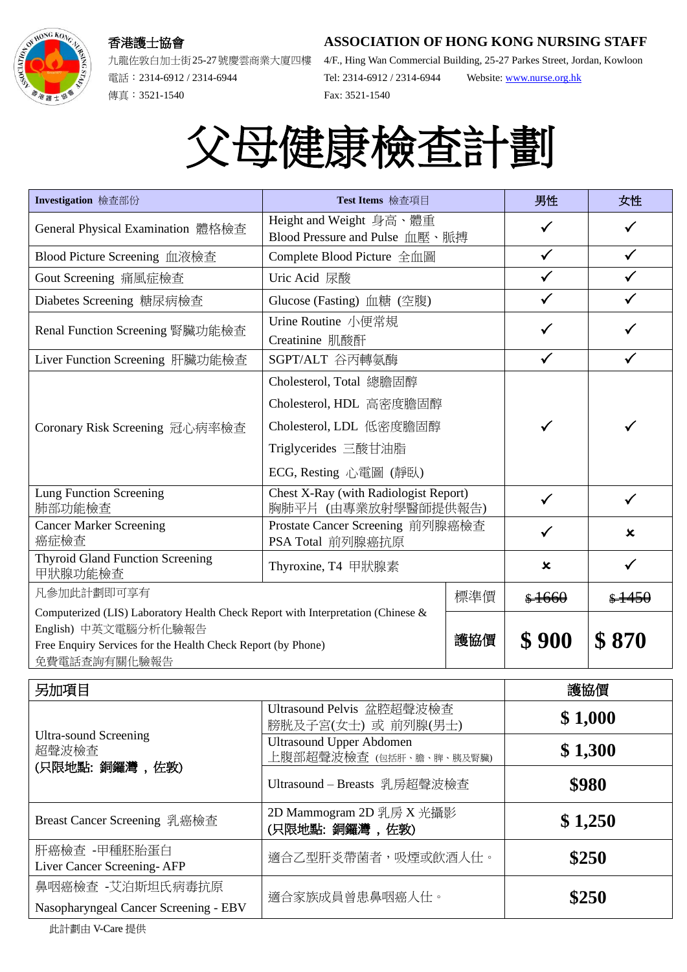## 香港護士協會



電話︰2314-6912 / 2314-6944 傳真︰3521-1540

**ASSOCIATION OF HONG KONG NURSING STAFF**

九龍佐敦白加士街25-27號慶雲商業大廈四樓 4/F., Hing Wan Commercial Building, 25-27 Parkes Street, Jordan, Kowloon Tel: 2314-6912 / 2314-6944 Website: [www.nurse.org.hk](http://www.nurse.org.hk/) Fax: 3521-1540

## 父母健康檢查計劃

| Investigation 檢查部份                                                                                                                                                                       | Test Items 檢查項目                                                                                                               |     | 男性                        | 女性               |
|------------------------------------------------------------------------------------------------------------------------------------------------------------------------------------------|-------------------------------------------------------------------------------------------------------------------------------|-----|---------------------------|------------------|
| General Physical Examination 體格檢查                                                                                                                                                        | Height and Weight 身高、體重<br>Blood Pressure and Pulse 血壓、脈搏                                                                     |     |                           |                  |
| Blood Picture Screening 血液檢查                                                                                                                                                             | Complete Blood Picture 全血圖                                                                                                    |     | $\checkmark$              | $\checkmark$     |
| Gout Screening 痛風症檢查                                                                                                                                                                     | Uric Acid 尿酸                                                                                                                  |     |                           |                  |
| Diabetes Screening 糖尿病檢查                                                                                                                                                                 | Glucose (Fasting) 血糖 (空腹)                                                                                                     |     | $\checkmark$              | $\checkmark$     |
| Renal Function Screening 腎臟功能檢查                                                                                                                                                          | Urine Routine 小便常規<br>Creatinine 肌酸酐                                                                                          |     |                           |                  |
| Liver Function Screening 肝臟功能檢查                                                                                                                                                          | SGPT/ALT 谷丙轉氨酶                                                                                                                |     |                           |                  |
| Coronary Risk Screening 冠心病率檢查                                                                                                                                                           | Cholesterol, Total 總膽固醇<br>Cholesterol, HDL 高密度膽固醇<br>Cholesterol, LDL 低密度膽固醇<br>Triglycerides 三酸甘油脂<br>ECG, Resting 心電圖 (靜臥) |     |                           |                  |
| <b>Lung Function Screening</b><br>肺部功能檢查                                                                                                                                                 | Chest X-Ray (with Radiologist Report)<br>胸肺平片 (由專業放射學醫師提供報告)                                                                  |     | $\checkmark$              | $\checkmark$     |
| <b>Cancer Marker Screening</b><br>癌症檢查                                                                                                                                                   | Prostate Cancer Screening 前列腺癌檢查<br>PSA Total 前列腺癌抗原                                                                          |     |                           | x                |
| Thyroid Gland Function Screening<br>甲狀腺功能檢查                                                                                                                                              | Thyroxine, T4 甲狀腺素                                                                                                            |     | $\boldsymbol{\mathsf{x}}$ | $\checkmark$     |
| 凡參加此計劃即可享有                                                                                                                                                                               | 標準價                                                                                                                           |     | \$1660                    | $\frac{$4450}{}$ |
| Computerized (LIS) Laboratory Health Check Report with Interpretation (Chinese &<br>English) 中英文電腦分析化驗報告<br>Free Enquiry Services for the Health Check Report (by Phone)<br>免費電話查詢有關化驗報告 |                                                                                                                               | 護協價 | \$900                     | \$870            |
| 早加頂日                                                                                                                                                                                     |                                                                                                                               | 謹協價 |                           |                  |

| 另加項目                                                   |                                                            | 護協價     |  |
|--------------------------------------------------------|------------------------------------------------------------|---------|--|
| <b>Ultra-sound Screening</b><br>超聲波檢查<br>(只限地點:銅鑼灣,佐敦) | Ultrasound Pelvis 盆腔超聲波檢查<br>膀胱及子宮(女士) 或 前列腺(男士)           | \$1,000 |  |
|                                                        | <b>Ultrasound Upper Abdomen</b><br>上腹部超聲波檢查 (包括肝、膽、脾、胰及腎臟) | \$1,300 |  |
|                                                        | Ultrasound - Breasts 乳房超聲波檢查                               | \$980   |  |
| Breast Cancer Screening 乳癌檢查                           | 2D Mammogram 2D 乳房 X 光攝影<br>(只限地點:銅鑼灣,佐敦)                  | \$1,250 |  |
| 肝癌檢查 -甲種胚胎蛋白<br>Liver Cancer Screening-AFP             | 適合乙型肝炎帶菌者,吸煙或飲酒人仕。                                         | \$250   |  |
| 鼻咽癌檢查 -艾泊斯坦氏病毒抗原                                       | 適合家族成員曾患鼻咽癌人仕。                                             | \$250   |  |
| Nasopharyngeal Cancer Screening - EBV                  |                                                            |         |  |

此計劃由 V-Care 提供